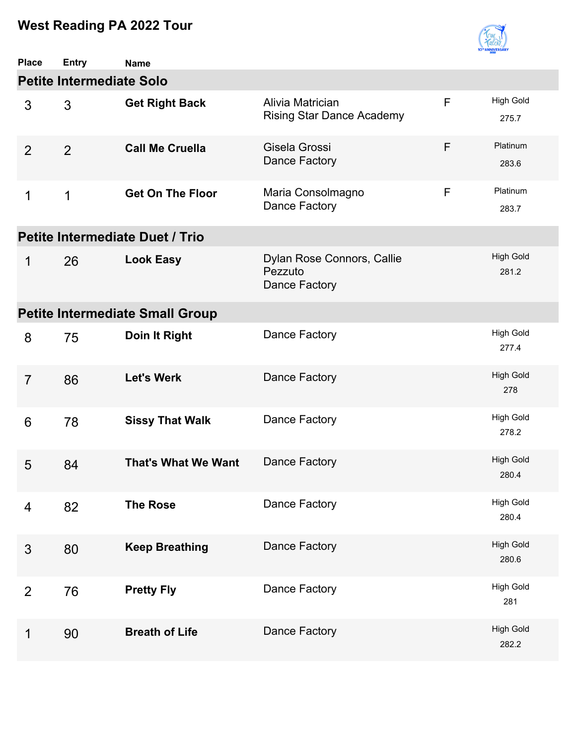

| <b>Place</b>   | <b>Entry</b>                    | <b>Name</b>                            |                                                        |   |                           |
|----------------|---------------------------------|----------------------------------------|--------------------------------------------------------|---|---------------------------|
|                | <b>Petite Intermediate Solo</b> |                                        |                                                        |   |                           |
| 3              | 3                               | <b>Get Right Back</b>                  | Alivia Matrician<br><b>Rising Star Dance Academy</b>   | F | <b>High Gold</b><br>275.7 |
| 2              | $\overline{2}$                  | <b>Call Me Cruella</b>                 | Gisela Grossi<br>Dance Factory                         | F | Platinum<br>283.6         |
| 1              | 1                               | <b>Get On The Floor</b>                | Maria Consolmagno<br>Dance Factory                     | F | Platinum<br>283.7         |
|                |                                 | Petite Intermediate Duet / Trio        |                                                        |   |                           |
| 1              | 26                              | <b>Look Easy</b>                       | Dylan Rose Connors, Callie<br>Pezzuto<br>Dance Factory |   | <b>High Gold</b><br>281.2 |
|                |                                 | <b>Petite Intermediate Small Group</b> |                                                        |   |                           |
| 8              | 75                              | Doin It Right                          | Dance Factory                                          |   | <b>High Gold</b><br>277.4 |
| $\overline{7}$ | 86                              | <b>Let's Werk</b>                      | Dance Factory                                          |   | <b>High Gold</b><br>278   |
| 6              | 78                              | <b>Sissy That Walk</b>                 | Dance Factory                                          |   | <b>High Gold</b><br>278.2 |
| 5              | 84                              | <b>That's What We Want</b>             | Dance Factory                                          |   | <b>High Gold</b><br>280.4 |
| $\overline{4}$ | 82                              | <b>The Rose</b>                        | Dance Factory                                          |   | <b>High Gold</b><br>280.4 |
| $\mathfrak{S}$ | 80                              | <b>Keep Breathing</b>                  | Dance Factory                                          |   | <b>High Gold</b><br>280.6 |
| 2              | 76                              | <b>Pretty Fly</b>                      | Dance Factory                                          |   | <b>High Gold</b><br>281   |
| 1              | 90                              | <b>Breath of Life</b>                  | Dance Factory                                          |   | <b>High Gold</b><br>282.2 |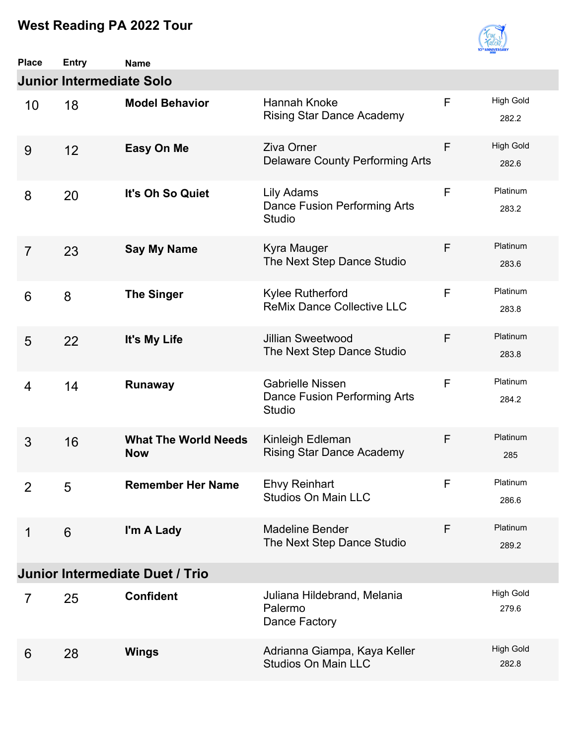

| <b>Place</b>   | <b>Entry</b>                    | <b>Name</b>                               |                                                                          |   |                           |
|----------------|---------------------------------|-------------------------------------------|--------------------------------------------------------------------------|---|---------------------------|
|                | <b>Junior Intermediate Solo</b> |                                           |                                                                          |   |                           |
| 10             | 18                              | <b>Model Behavior</b>                     | Hannah Knoke<br><b>Rising Star Dance Academy</b>                         | F | <b>High Gold</b><br>282.2 |
| 9              | 12                              | Easy On Me                                | <b>Ziva Orner</b><br><b>Delaware County Performing Arts</b>              | F | <b>High Gold</b><br>282.6 |
| 8              | 20                              | It's Oh So Quiet                          | Lily Adams<br>Dance Fusion Performing Arts<br><b>Studio</b>              | F | Platinum<br>283.2         |
| $\overline{7}$ | 23                              | <b>Say My Name</b>                        | Kyra Mauger<br>The Next Step Dance Studio                                | F | Platinum<br>283.6         |
| 6              | 8                               | <b>The Singer</b>                         | Kylee Rutherford<br><b>ReMix Dance Collective LLC</b>                    | F | Platinum<br>283.8         |
| 5              | 22                              | It's My Life                              | <b>Jillian Sweetwood</b><br>The Next Step Dance Studio                   | F | Platinum<br>283.8         |
| 4              | 14                              | <b>Runaway</b>                            | <b>Gabrielle Nissen</b><br>Dance Fusion Performing Arts<br><b>Studio</b> | F | Platinum<br>284.2         |
| 3              | 16                              | <b>What The World Needs</b><br><b>Now</b> | Kinleigh Edleman<br><b>Rising Star Dance Academy</b>                     | F | Platinum<br>285           |
| $\overline{2}$ | 5                               | <b>Remember Her Name</b>                  | <b>Ehvy Reinhart</b><br><b>Studios On Main LLC</b>                       | F | Platinum<br>286.6         |
| $\mathbf 1$    | 6                               | I'm A Lady                                | <b>Madeline Bender</b><br>The Next Step Dance Studio                     | F | Platinum<br>289.2         |
|                |                                 | Junior Intermediate Duet / Trio           |                                                                          |   |                           |
| 7              | 25                              | <b>Confident</b>                          | Juliana Hildebrand, Melania<br>Palermo<br>Dance Factory                  |   | <b>High Gold</b><br>279.6 |
| 6              | 28                              | <b>Wings</b>                              | Adrianna Giampa, Kaya Keller<br><b>Studios On Main LLC</b>               |   | <b>High Gold</b><br>282.8 |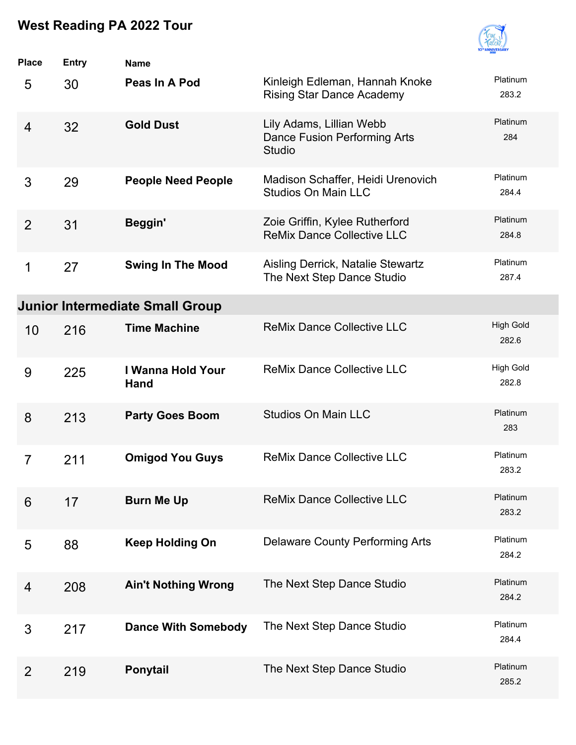

| <b>Place</b>   | <b>Entry</b> | <b>Name</b>                            |                                                                           |                           |
|----------------|--------------|----------------------------------------|---------------------------------------------------------------------------|---------------------------|
| 5              | 30           | Peas In A Pod                          | Kinleigh Edleman, Hannah Knoke<br><b>Rising Star Dance Academy</b>        | Platinum<br>283.2         |
| $\overline{4}$ | 32           | <b>Gold Dust</b>                       | Lily Adams, Lillian Webb<br>Dance Fusion Performing Arts<br><b>Studio</b> | Platinum<br>284           |
| 3              | 29           | <b>People Need People</b>              | Madison Schaffer, Heidi Urenovich<br><b>Studios On Main LLC</b>           | Platinum<br>284.4         |
| $\overline{2}$ | 31           | Beggin'                                | Zoie Griffin, Kylee Rutherford<br><b>ReMix Dance Collective LLC</b>       | Platinum<br>284.8         |
| 1              | 27           | <b>Swing In The Mood</b>               | Aisling Derrick, Natalie Stewartz<br>The Next Step Dance Studio           | Platinum<br>287.4         |
|                |              | <b>Junior Intermediate Small Group</b> |                                                                           |                           |
| 10             | 216          | <b>Time Machine</b>                    | <b>ReMix Dance Collective LLC</b>                                         | <b>High Gold</b><br>282.6 |
| 9              | 225          | I Wanna Hold Your<br>Hand              | <b>ReMix Dance Collective LLC</b>                                         | <b>High Gold</b><br>282.8 |
| 8              | 213          | <b>Party Goes Boom</b>                 | <b>Studios On Main LLC</b>                                                | Platinum<br>283           |
| $\overline{7}$ | 211          | <b>Omigod You Guys</b>                 | <b>ReMix Dance Collective LLC</b>                                         | Platinum<br>283.2         |
| 6              | 17           | <b>Burn Me Up</b>                      | <b>ReMix Dance Collective LLC</b>                                         | Platinum<br>283.2         |
| 5              | 88           | <b>Keep Holding On</b>                 | <b>Delaware County Performing Arts</b>                                    | Platinum<br>284.2         |
| 4              | 208          | <b>Ain't Nothing Wrong</b>             | The Next Step Dance Studio                                                | Platinum<br>284.2         |
| 3              | 217          | <b>Dance With Somebody</b>             | The Next Step Dance Studio                                                | Platinum<br>284.4         |
| 2              | 219          | Ponytail                               | The Next Step Dance Studio                                                | Platinum<br>285.2         |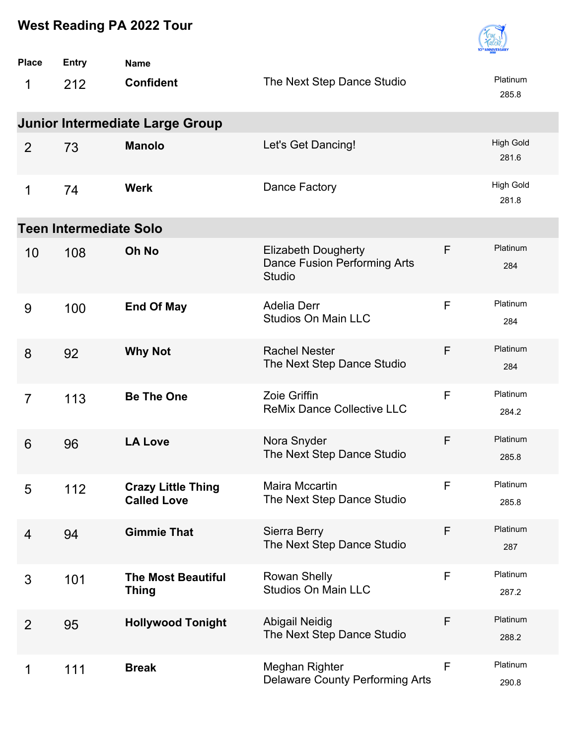

| <b>Place</b>   | <b>Entry</b>                  | <b>Name</b>                                     |                                                                             |              |                           |
|----------------|-------------------------------|-------------------------------------------------|-----------------------------------------------------------------------------|--------------|---------------------------|
| 1              | 212                           | <b>Confident</b>                                | The Next Step Dance Studio                                                  |              | Platinum<br>285.8         |
|                |                               | <b>Junior Intermediate Large Group</b>          |                                                                             |              |                           |
| $\overline{2}$ | 73                            | <b>Manolo</b>                                   | Let's Get Dancing!                                                          |              | <b>High Gold</b><br>281.6 |
| 1              | 74                            | <b>Werk</b>                                     | Dance Factory                                                               |              | <b>High Gold</b><br>281.8 |
|                | <b>Teen Intermediate Solo</b> |                                                 |                                                                             |              |                           |
| 10             | 108                           | Oh No                                           | <b>Elizabeth Dougherty</b><br>Dance Fusion Performing Arts<br><b>Studio</b> | F            | Platinum<br>284           |
| 9              | 100                           | <b>End Of May</b>                               | <b>Adelia Derr</b><br><b>Studios On Main LLC</b>                            | F            | Platinum<br>284           |
| 8              | 92                            | <b>Why Not</b>                                  | <b>Rachel Nester</b><br>The Next Step Dance Studio                          | F            | Platinum<br>284           |
| $\overline{7}$ | 113                           | <b>Be The One</b>                               | Zoie Griffin<br><b>ReMix Dance Collective LLC</b>                           | F            | Platinum<br>284.2         |
| 6              | 96                            | <b>LA Love</b>                                  | Nora Snyder<br>The Next Step Dance Studio                                   | F            | Platinum<br>285.8         |
| 5              | 112                           | <b>Crazy Little Thing</b><br><b>Called Love</b> | Maira Mccartin<br>The Next Step Dance Studio                                | $\mathsf{F}$ | Platinum<br>285.8         |
| 4              | 94                            | <b>Gimmie That</b>                              | Sierra Berry<br>The Next Step Dance Studio                                  | F            | Platinum<br>287           |
| 3              | 101                           | <b>The Most Beautiful</b><br><b>Thing</b>       | <b>Rowan Shelly</b><br><b>Studios On Main LLC</b>                           | F            | Platinum<br>287.2         |
| $\overline{2}$ | 95                            | <b>Hollywood Tonight</b>                        | <b>Abigail Neidig</b><br>The Next Step Dance Studio                         | F            | Platinum<br>288.2         |
| 1              | 111                           | <b>Break</b>                                    | Meghan Righter<br><b>Delaware County Performing Arts</b>                    | $\mathsf F$  | Platinum<br>290.8         |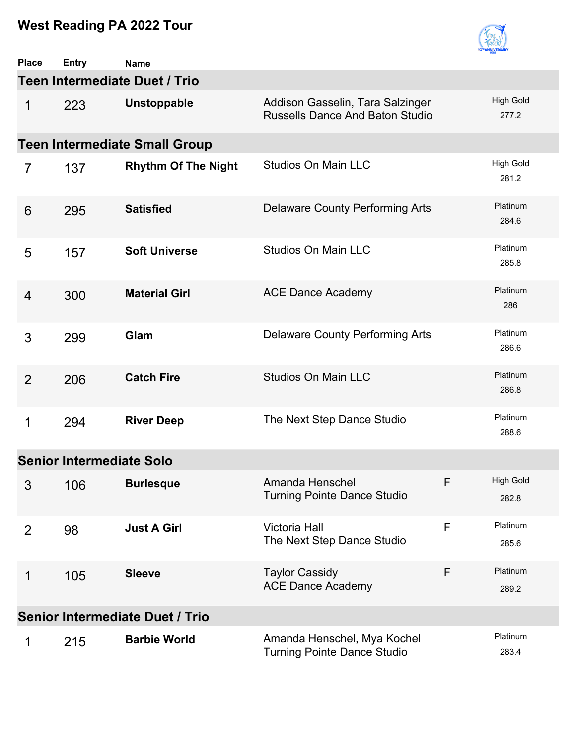

| <b>Place</b>   | <b>Entry</b> | <b>Name</b>                            |                                                                            |   |                           |
|----------------|--------------|----------------------------------------|----------------------------------------------------------------------------|---|---------------------------|
|                |              | <b>Teen Intermediate Duet / Trio</b>   |                                                                            |   |                           |
| 1              | 223          | <b>Unstoppable</b>                     | Addison Gasselin, Tara Salzinger<br><b>Russells Dance And Baton Studio</b> |   | <b>High Gold</b><br>277.2 |
|                |              | <b>Teen Intermediate Small Group</b>   |                                                                            |   |                           |
| $\overline{7}$ | 137          | <b>Rhythm Of The Night</b>             | <b>Studios On Main LLC</b>                                                 |   | <b>High Gold</b><br>281.2 |
| 6              | 295          | <b>Satisfied</b>                       | <b>Delaware County Performing Arts</b>                                     |   | Platinum<br>284.6         |
| 5              | 157          | <b>Soft Universe</b>                   | Studios On Main LLC                                                        |   | Platinum<br>285.8         |
| $\overline{4}$ | 300          | <b>Material Girl</b>                   | <b>ACE Dance Academy</b>                                                   |   | Platinum<br>286           |
| 3              | 299          | Glam                                   | <b>Delaware County Performing Arts</b>                                     |   | Platinum<br>286.6         |
| 2              | 206          | <b>Catch Fire</b>                      | <b>Studios On Main LLC</b>                                                 |   | Platinum<br>286.8         |
| 1              | 294          | <b>River Deep</b>                      | The Next Step Dance Studio                                                 |   | Platinum<br>288.6         |
|                |              | <b>Senior Intermediate Solo</b>        |                                                                            |   |                           |
| 3              | 106          | <b>Burlesque</b>                       | Amanda Henschel<br><b>Turning Pointe Dance Studio</b>                      | F | <b>High Gold</b><br>282.8 |
| 2              | 98           | <b>Just A Girl</b>                     | Victoria Hall<br>The Next Step Dance Studio                                | F | Platinum<br>285.6         |
| 1              | 105          | <b>Sleeve</b>                          | <b>Taylor Cassidy</b><br><b>ACE Dance Academy</b>                          | F | Platinum<br>289.2         |
|                |              | <b>Senior Intermediate Duet / Trio</b> |                                                                            |   |                           |
| 1              | 215          | <b>Barbie World</b>                    | Amanda Henschel, Mya Kochel<br><b>Turning Pointe Dance Studio</b>          |   | Platinum<br>283.4         |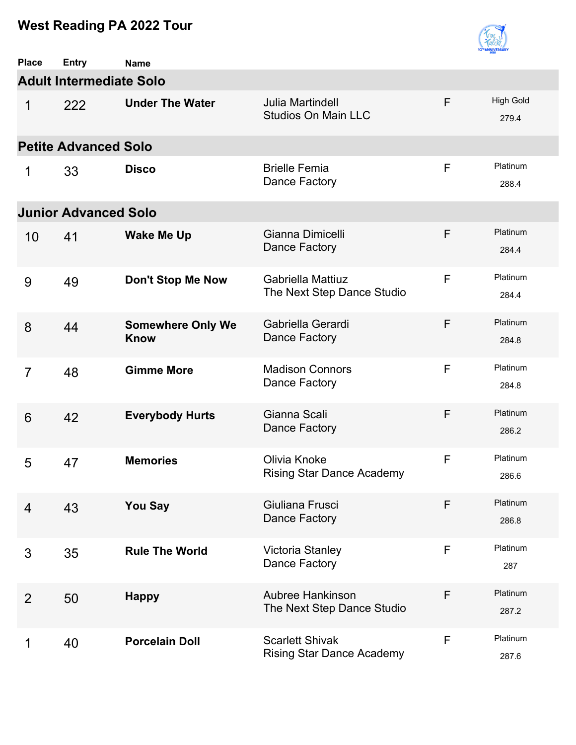

| <b>Place</b>   | <b>Entry</b>                   | <b>Name</b>                             |                                                            |   |                           |  |  |  |  |
|----------------|--------------------------------|-----------------------------------------|------------------------------------------------------------|---|---------------------------|--|--|--|--|
|                | <b>Adult Intermediate Solo</b> |                                         |                                                            |   |                           |  |  |  |  |
| 1              | 222                            | <b>Under The Water</b>                  | <b>Julia Martindell</b><br><b>Studios On Main LLC</b>      | F | <b>High Gold</b><br>279.4 |  |  |  |  |
|                | <b>Petite Advanced Solo</b>    |                                         |                                                            |   |                           |  |  |  |  |
| 1              | 33                             | <b>Disco</b>                            | <b>Brielle Femia</b><br>Dance Factory                      | F | Platinum<br>288.4         |  |  |  |  |
|                | <b>Junior Advanced Solo</b>    |                                         |                                                            |   |                           |  |  |  |  |
| 10             | 41                             | <b>Wake Me Up</b>                       | Gianna Dimicelli<br>Dance Factory                          | F | Platinum<br>284.4         |  |  |  |  |
| 9              | 49                             | <b>Don't Stop Me Now</b>                | <b>Gabriella Mattiuz</b><br>The Next Step Dance Studio     | F | Platinum<br>284.4         |  |  |  |  |
| 8              | 44                             | <b>Somewhere Only We</b><br><b>Know</b> | Gabriella Gerardi<br>Dance Factory                         | F | Platinum<br>284.8         |  |  |  |  |
| $\overline{7}$ | 48                             | <b>Gimme More</b>                       | <b>Madison Connors</b><br>Dance Factory                    | F | Platinum<br>284.8         |  |  |  |  |
| 6              | 42                             | <b>Everybody Hurts</b>                  | Gianna Scali<br>Dance Factory                              | F | Platinum<br>286.2         |  |  |  |  |
| 5              | 47                             | <b>Memories</b>                         | Olivia Knoke<br><b>Rising Star Dance Academy</b>           | F | Platinum<br>286.6         |  |  |  |  |
| $\overline{4}$ | 43                             | <b>You Say</b>                          | Giuliana Frusci<br>Dance Factory                           | F | Platinum<br>286.8         |  |  |  |  |
| 3              | 35                             | <b>Rule The World</b>                   | <b>Victoria Stanley</b><br>Dance Factory                   | F | Platinum<br>287           |  |  |  |  |
| 2              | 50                             | <b>Happy</b>                            | Aubree Hankinson<br>The Next Step Dance Studio             | F | Platinum<br>287.2         |  |  |  |  |
| 1              | 40                             | <b>Porcelain Doll</b>                   | <b>Scarlett Shivak</b><br><b>Rising Star Dance Academy</b> | F | Platinum<br>287.6         |  |  |  |  |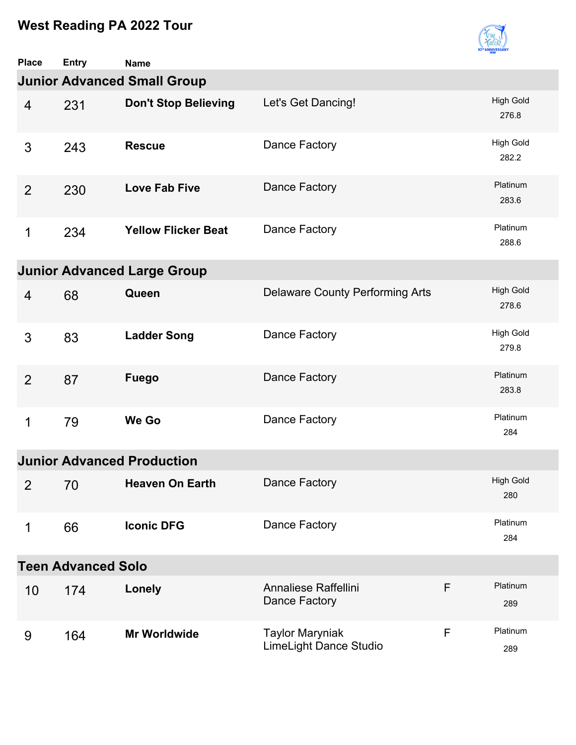

| <b>Place</b>   | <b>Entry</b>                       | <b>Name</b>                        |                                                         |   |                           |  |  |  |  |
|----------------|------------------------------------|------------------------------------|---------------------------------------------------------|---|---------------------------|--|--|--|--|
|                | <b>Junior Advanced Small Group</b> |                                    |                                                         |   |                           |  |  |  |  |
| $\overline{4}$ | 231                                | <b>Don't Stop Believing</b>        | Let's Get Dancing!                                      |   | <b>High Gold</b><br>276.8 |  |  |  |  |
| 3              | 243                                | <b>Rescue</b>                      | Dance Factory                                           |   | <b>High Gold</b><br>282.2 |  |  |  |  |
| $\overline{2}$ | 230                                | <b>Love Fab Five</b>               | Dance Factory                                           |   | Platinum<br>283.6         |  |  |  |  |
| 1              | 234                                | <b>Yellow Flicker Beat</b>         | Dance Factory                                           |   | Platinum<br>288.6         |  |  |  |  |
|                |                                    | <b>Junior Advanced Large Group</b> |                                                         |   |                           |  |  |  |  |
| 4              | 68                                 | Queen                              | <b>Delaware County Performing Arts</b>                  |   | <b>High Gold</b><br>278.6 |  |  |  |  |
| 3              | 83                                 | <b>Ladder Song</b>                 | Dance Factory                                           |   | <b>High Gold</b><br>279.8 |  |  |  |  |
| 2              | 87                                 | <b>Fuego</b>                       | Dance Factory                                           |   | Platinum<br>283.8         |  |  |  |  |
| 1              | 79                                 | <b>We Go</b>                       | Dance Factory                                           |   | Platinum<br>284           |  |  |  |  |
|                |                                    | <b>Junior Advanced Production</b>  |                                                         |   |                           |  |  |  |  |
| $\overline{2}$ | 70                                 | <b>Heaven On Earth</b>             | Dance Factory                                           |   | High Gold<br>280          |  |  |  |  |
| 1              | 66                                 | <b>Iconic DFG</b>                  | Dance Factory                                           |   | Platinum<br>284           |  |  |  |  |
|                | <b>Teen Advanced Solo</b>          |                                    |                                                         |   |                           |  |  |  |  |
| 10             | 174                                | Lonely                             | Annaliese Raffellini<br>Dance Factory                   | F | Platinum<br>289           |  |  |  |  |
| 9              | 164                                | <b>Mr Worldwide</b>                | <b>Taylor Maryniak</b><br><b>LimeLight Dance Studio</b> | F | Platinum<br>289           |  |  |  |  |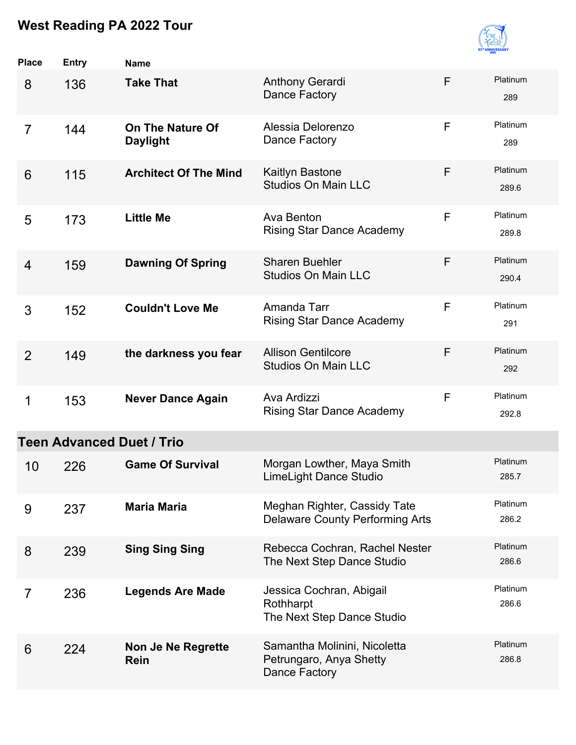

| <b>Place</b>   | <b>Entry</b> | <b>Name</b>                                |                                                                          |   |                   |
|----------------|--------------|--------------------------------------------|--------------------------------------------------------------------------|---|-------------------|
| 8              | 136          | <b>Take That</b>                           | <b>Anthony Gerardi</b><br>Dance Factory                                  | F | Platinum<br>289   |
| $\overline{7}$ | 144          | <b>On The Nature Of</b><br><b>Daylight</b> | Alessia Delorenzo<br>Dance Factory                                       | F | Platinum<br>289   |
| 6              | 115          | <b>Architect Of The Mind</b>               | Kaitlyn Bastone<br><b>Studios On Main LLC</b>                            | F | Platinum<br>289.6 |
| 5              | 173          | <b>Little Me</b>                           | Ava Benton<br><b>Rising Star Dance Academy</b>                           | F | Platinum<br>289.8 |
| $\overline{4}$ | 159          | <b>Dawning Of Spring</b>                   | <b>Sharen Buehler</b><br><b>Studios On Main LLC</b>                      | F | Platinum<br>290.4 |
| 3              | 152          | <b>Couldn't Love Me</b>                    | Amanda Tarr<br><b>Rising Star Dance Academy</b>                          | F | Platinum<br>291   |
| $\overline{2}$ | 149          | the darkness you fear                      | <b>Allison Gentilcore</b><br><b>Studios On Main LLC</b>                  | F | Platinum<br>292   |
| 1              | 153          | <b>Never Dance Again</b>                   | Ava Ardizzi<br><b>Rising Star Dance Academy</b>                          | F | Platinum<br>292.8 |
|                |              | <b>Teen Advanced Duet / Trio</b>           |                                                                          |   |                   |
| 10             | 226          | <b>Game Of Survival</b>                    | Morgan Lowther, Maya Smith<br><b>LimeLight Dance Studio</b>              |   | Platinum<br>285.7 |
| 9              | 237          | <b>Maria Maria</b>                         | Meghan Righter, Cassidy Tate<br><b>Delaware County Performing Arts</b>   |   | Platinum<br>286.2 |
| 8              | 239          | <b>Sing Sing Sing</b>                      | Rebecca Cochran, Rachel Nester<br>The Next Step Dance Studio             |   | Platinum<br>286.6 |
| $\overline{7}$ | 236          | <b>Legends Are Made</b>                    | Jessica Cochran, Abigail<br>Rothharpt<br>The Next Step Dance Studio      |   | Platinum<br>286.6 |
| 6              | 224          | <b>Non Je Ne Regrette</b><br>Rein          | Samantha Molinini, Nicoletta<br>Petrungaro, Anya Shetty<br>Dance Factory |   | Platinum<br>286.8 |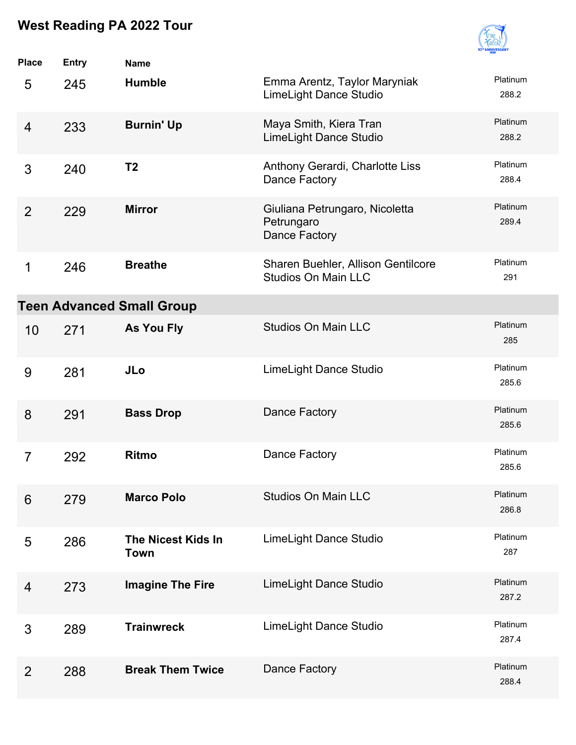

| <b>Place</b>   | <b>Entry</b> | <b>Name</b>                       |                                                                  |                   |
|----------------|--------------|-----------------------------------|------------------------------------------------------------------|-------------------|
| 5              | 245          | <b>Humble</b>                     | Emma Arentz, Taylor Maryniak<br>LimeLight Dance Studio           | Platinum<br>288.2 |
| 4              | 233          | <b>Burnin' Up</b>                 | Maya Smith, Kiera Tran<br>LimeLight Dance Studio                 | Platinum<br>288.2 |
| 3              | 240          | T <sub>2</sub>                    | Anthony Gerardi, Charlotte Liss<br>Dance Factory                 | Platinum<br>288.4 |
| $\overline{2}$ | 229          | <b>Mirror</b>                     | Giuliana Petrungaro, Nicoletta<br>Petrungaro<br>Dance Factory    | Platinum<br>289.4 |
| 1              | 246          | <b>Breathe</b>                    | Sharen Buehler, Allison Gentilcore<br><b>Studios On Main LLC</b> | Platinum<br>291   |
|                |              | <b>Teen Advanced Small Group</b>  |                                                                  |                   |
| 10             | 271          | <b>As You Fly</b>                 | <b>Studios On Main LLC</b>                                       | Platinum<br>285   |
| 9              | 281          | <b>JLo</b>                        | LimeLight Dance Studio                                           | Platinum<br>285.6 |
| 8              | 291          | <b>Bass Drop</b>                  | Dance Factory                                                    | Platinum<br>285.6 |
| $\overline{7}$ | 292          | <b>Ritmo</b>                      | Dance Factory                                                    | Platinum<br>285.6 |
| 6              | 279          | <b>Marco Polo</b>                 | <b>Studios On Main LLC</b>                                       | Platinum<br>286.8 |
| 5              | 286          | The Nicest Kids In<br><b>Town</b> | LimeLight Dance Studio                                           | Platinum<br>287   |
| 4              | 273          | <b>Imagine The Fire</b>           | LimeLight Dance Studio                                           | Platinum<br>287.2 |
| 3              | 289          | <b>Trainwreck</b>                 | <b>LimeLight Dance Studio</b>                                    | Platinum<br>287.4 |
| $\overline{2}$ | 288          | <b>Break Them Twice</b>           | Dance Factory                                                    | Platinum<br>288.4 |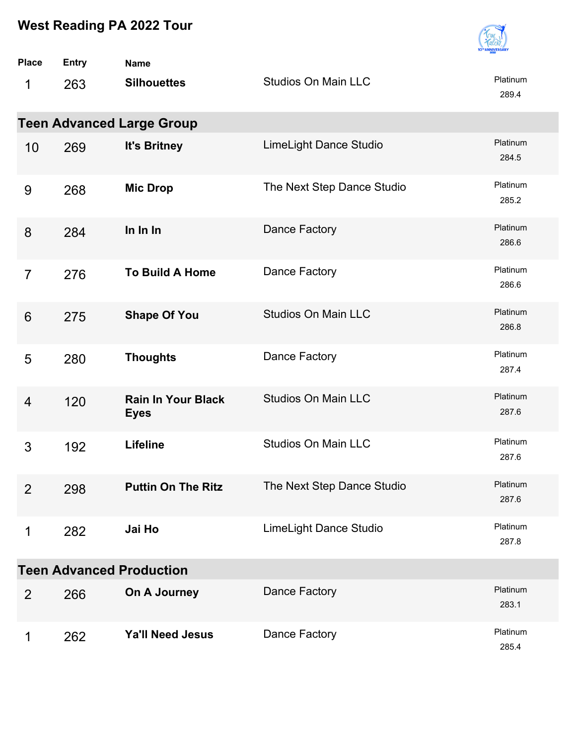

| <b>Place</b>   | <b>Entry</b> | <b>Name</b>                              |                            |                   |
|----------------|--------------|------------------------------------------|----------------------------|-------------------|
| 1              | 263          | <b>Silhouettes</b>                       | <b>Studios On Main LLC</b> | Platinum<br>289.4 |
|                |              | <b>Teen Advanced Large Group</b>         |                            |                   |
| 10             | 269          | It's Britney                             | LimeLight Dance Studio     | Platinum<br>284.5 |
| 9              | 268          | <b>Mic Drop</b>                          | The Next Step Dance Studio | Platinum<br>285.2 |
| 8              | 284          | In In In                                 | Dance Factory              | Platinum<br>286.6 |
| $\overline{7}$ | 276          | <b>To Build A Home</b>                   | Dance Factory              | Platinum<br>286.6 |
| 6              | 275          | <b>Shape Of You</b>                      | <b>Studios On Main LLC</b> | Platinum<br>286.8 |
| 5              | 280          | <b>Thoughts</b>                          | Dance Factory              | Platinum<br>287.4 |
| 4              | 120          | <b>Rain In Your Black</b><br><b>Eyes</b> | <b>Studios On Main LLC</b> | Platinum<br>287.6 |
| 3              | 192          | <b>Lifeline</b>                          | <b>Studios On Main LLC</b> | Platinum<br>287.6 |
| $\overline{2}$ | 298          | <b>Puttin On The Ritz</b>                | The Next Step Dance Studio | Platinum<br>287.6 |
| 1              | 282          | Jai Ho                                   | LimeLight Dance Studio     | Platinum<br>287.8 |
|                |              | <b>Teen Advanced Production</b>          |                            |                   |
| 2              | 266          | On A Journey                             | Dance Factory              | Platinum<br>283.1 |
| 1              | 262          | <b>Ya'll Need Jesus</b>                  | Dance Factory              | Platinum<br>285.4 |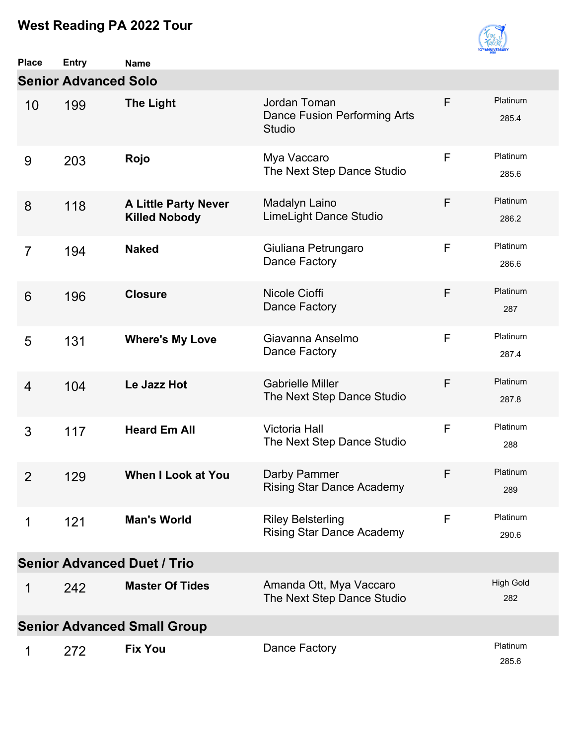

| <b>Place</b>   | <b>Entry</b>                | <b>Name</b>                                         |                                                               |   |                         |  |  |  |  |
|----------------|-----------------------------|-----------------------------------------------------|---------------------------------------------------------------|---|-------------------------|--|--|--|--|
|                | <b>Senior Advanced Solo</b> |                                                     |                                                               |   |                         |  |  |  |  |
| 10             | 199                         | <b>The Light</b>                                    | Jordan Toman<br>Dance Fusion Performing Arts<br><b>Studio</b> | F | Platinum<br>285.4       |  |  |  |  |
| 9              | 203                         | Rojo                                                | Mya Vaccaro<br>The Next Step Dance Studio                     | F | Platinum<br>285.6       |  |  |  |  |
| 8              | 118                         | <b>A Little Party Never</b><br><b>Killed Nobody</b> | Madalyn Laino<br>LimeLight Dance Studio                       | F | Platinum<br>286.2       |  |  |  |  |
| 7              | 194                         | <b>Naked</b>                                        | Giuliana Petrungaro<br>Dance Factory                          | F | Platinum<br>286.6       |  |  |  |  |
| 6              | 196                         | <b>Closure</b>                                      | Nicole Cioffi<br>Dance Factory                                | F | Platinum<br>287         |  |  |  |  |
| 5              | 131                         | <b>Where's My Love</b>                              | Giavanna Anselmo<br>Dance Factory                             | F | Platinum<br>287.4       |  |  |  |  |
| $\overline{4}$ | 104                         | Le Jazz Hot                                         | <b>Gabrielle Miller</b><br>The Next Step Dance Studio         | F | Platinum<br>287.8       |  |  |  |  |
| 3              | 117                         | <b>Heard Em All</b>                                 | <b>Victoria Hall</b><br>The Next Step Dance Studio            | F | Platinum<br>288         |  |  |  |  |
| $\overline{2}$ | 129                         | <b>When I Look at You</b>                           | Darby Pammer<br><b>Rising Star Dance Academy</b>              | F | Platinum<br>289         |  |  |  |  |
| 1              | 121                         | <b>Man's World</b>                                  | <b>Riley Belsterling</b><br><b>Rising Star Dance Academy</b>  | F | Platinum<br>290.6       |  |  |  |  |
|                |                             | <b>Senior Advanced Duet / Trio</b>                  |                                                               |   |                         |  |  |  |  |
| 1              | 242                         | <b>Master Of Tides</b>                              | Amanda Ott, Mya Vaccaro<br>The Next Step Dance Studio         |   | <b>High Gold</b><br>282 |  |  |  |  |
|                |                             | <b>Senior Advanced Small Group</b>                  |                                                               |   |                         |  |  |  |  |
| 1              | 272                         | <b>Fix You</b>                                      | Dance Factory                                                 |   | Platinum<br>285.6       |  |  |  |  |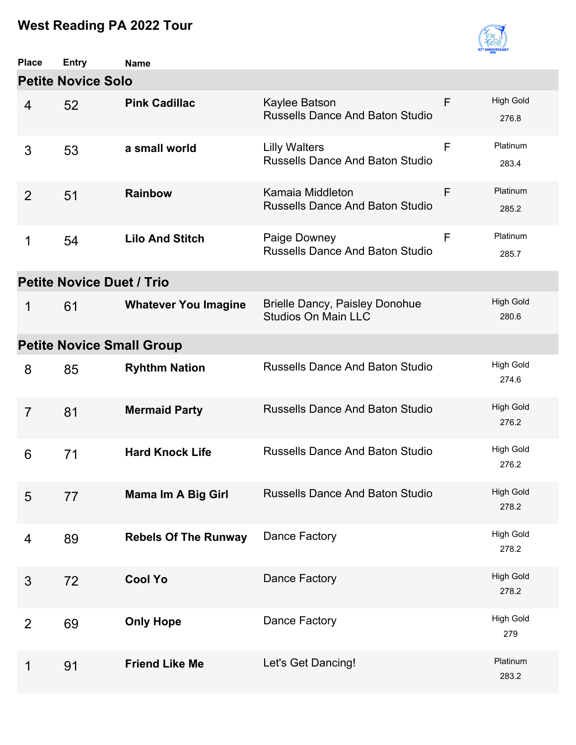

| <b>Place</b>   | <b>Entry</b>                     | <b>Name</b>                      |                                                                     |   |                           |  |  |  |  |
|----------------|----------------------------------|----------------------------------|---------------------------------------------------------------------|---|---------------------------|--|--|--|--|
|                | <b>Petite Novice Solo</b>        |                                  |                                                                     |   |                           |  |  |  |  |
| 4              | 52                               | <b>Pink Cadillac</b>             | Kaylee Batson<br><b>Russells Dance And Baton Studio</b>             | F | <b>High Gold</b><br>276.8 |  |  |  |  |
| 3              | 53                               | a small world                    | <b>Lilly Walters</b><br><b>Russells Dance And Baton Studio</b>      | F | Platinum<br>283.4         |  |  |  |  |
| 2              | 51                               | <b>Rainbow</b>                   | Kamaia Middleton<br><b>Russells Dance And Baton Studio</b>          | F | Platinum<br>285.2         |  |  |  |  |
| 1              | 54                               | <b>Lilo And Stitch</b>           | Paige Downey<br><b>Russells Dance And Baton Studio</b>              | F | Platinum<br>285.7         |  |  |  |  |
|                | <b>Petite Novice Duet / Trio</b> |                                  |                                                                     |   |                           |  |  |  |  |
| 1              | 61                               | <b>Whatever You Imagine</b>      | <b>Brielle Dancy, Paisley Donohue</b><br><b>Studios On Main LLC</b> |   | <b>High Gold</b><br>280.6 |  |  |  |  |
|                |                                  | <b>Petite Novice Small Group</b> |                                                                     |   |                           |  |  |  |  |
| 8              | 85                               | <b>Ryhthm Nation</b>             | <b>Russells Dance And Baton Studio</b>                              |   | <b>High Gold</b><br>274.6 |  |  |  |  |
| $\overline{7}$ | 81                               | <b>Mermaid Party</b>             | <b>Russells Dance And Baton Studio</b>                              |   | <b>High Gold</b><br>276.2 |  |  |  |  |
| 6              | 71                               | <b>Hard Knock Life</b>           | <b>Russells Dance And Baton Studio</b>                              |   | <b>High Gold</b><br>276.2 |  |  |  |  |
| 5              | 77                               | <b>Mama Im A Big Girl</b>        | <b>Russells Dance And Baton Studio</b>                              |   | <b>High Gold</b><br>278.2 |  |  |  |  |
| 4              | 89                               | <b>Rebels Of The Runway</b>      | Dance Factory                                                       |   | <b>High Gold</b><br>278.2 |  |  |  |  |
| 3              | 72                               | <b>Cool Yo</b>                   | Dance Factory                                                       |   | <b>High Gold</b><br>278.2 |  |  |  |  |
| $\overline{2}$ | 69                               | <b>Only Hope</b>                 | Dance Factory                                                       |   | <b>High Gold</b><br>279   |  |  |  |  |
| 1              | 91                               | <b>Friend Like Me</b>            | Let's Get Dancing!                                                  |   | Platinum<br>283.2         |  |  |  |  |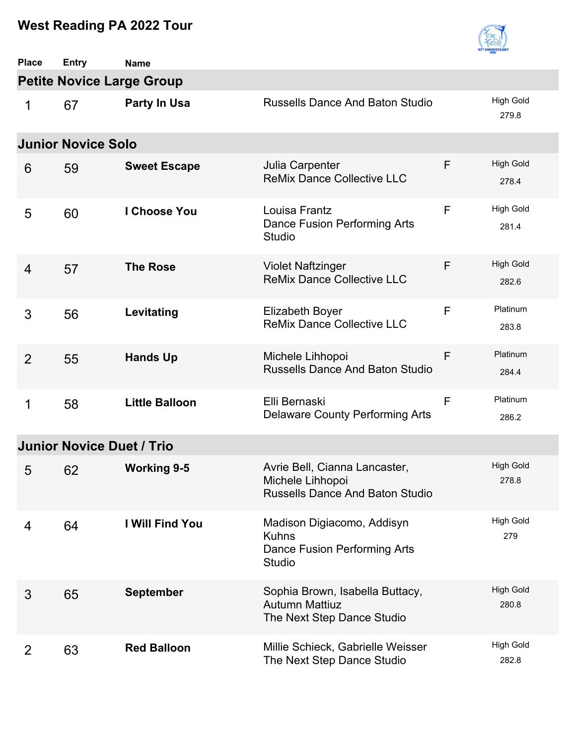

| <b>Place</b>                     | <b>Entry</b> | <b>Name</b>           |                                                                                             |   |                           |  |  |  |  |
|----------------------------------|--------------|-----------------------|---------------------------------------------------------------------------------------------|---|---------------------------|--|--|--|--|
| <b>Petite Novice Large Group</b> |              |                       |                                                                                             |   |                           |  |  |  |  |
| 1                                | 67           | <b>Party In Usa</b>   | <b>Russells Dance And Baton Studio</b>                                                      |   | <b>High Gold</b><br>279.8 |  |  |  |  |
| <b>Junior Novice Solo</b>        |              |                       |                                                                                             |   |                           |  |  |  |  |
| 6                                | 59           | <b>Sweet Escape</b>   | Julia Carpenter<br><b>ReMix Dance Collective LLC</b>                                        | F | <b>High Gold</b><br>278.4 |  |  |  |  |
| 5                                | 60           | I Choose You          | Louisa Frantz<br>Dance Fusion Performing Arts<br><b>Studio</b>                              | F | <b>High Gold</b><br>281.4 |  |  |  |  |
| 4                                | 57           | <b>The Rose</b>       | <b>Violet Naftzinger</b><br><b>ReMix Dance Collective LLC</b>                               | F | <b>High Gold</b><br>282.6 |  |  |  |  |
| 3                                | 56           | Levitating            | <b>Elizabeth Boyer</b><br><b>ReMix Dance Collective LLC</b>                                 | F | Platinum<br>283.8         |  |  |  |  |
| $\overline{2}$                   | 55           | <b>Hands Up</b>       | Michele Lihhopoi<br><b>Russells Dance And Baton Studio</b>                                  | F | Platinum<br>284.4         |  |  |  |  |
| 1                                | 58           | <b>Little Balloon</b> | Elli Bernaski<br><b>Delaware County Performing Arts</b>                                     | F | Platinum<br>286.2         |  |  |  |  |
| <b>Junior Novice Duet / Trio</b> |              |                       |                                                                                             |   |                           |  |  |  |  |
| 5                                | 62           | <b>Working 9-5</b>    | Avrie Bell, Cianna Lancaster,<br>Michele Lihhopoi<br><b>Russells Dance And Baton Studio</b> |   | <b>High Gold</b><br>278.8 |  |  |  |  |
| 4                                | 64           | I Will Find You       | Madison Digiacomo, Addisyn<br><b>Kuhns</b><br>Dance Fusion Performing Arts<br><b>Studio</b> |   | <b>High Gold</b><br>279   |  |  |  |  |
| 3                                | 65           | <b>September</b>      | Sophia Brown, Isabella Buttacy,<br><b>Autumn Mattiuz</b><br>The Next Step Dance Studio      |   | <b>High Gold</b><br>280.8 |  |  |  |  |
| 2                                | 63           | <b>Red Balloon</b>    | Millie Schieck, Gabrielle Weisser<br>The Next Step Dance Studio                             |   | <b>High Gold</b><br>282.8 |  |  |  |  |